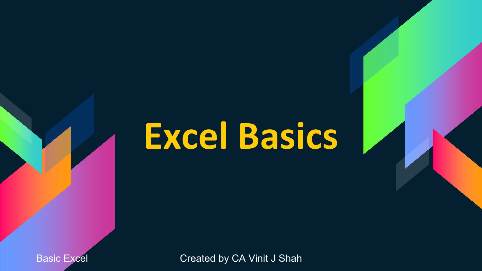## **Excel Basics**

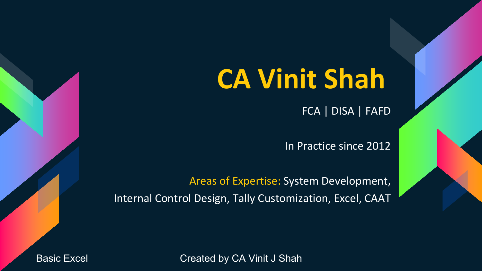## **CA Vinit Shah**

FCA | DISA | FAFD

In Practice since 2012

Areas of Expertise: System Development, Internal Control Design, Tally Customization, Excel, CAAT

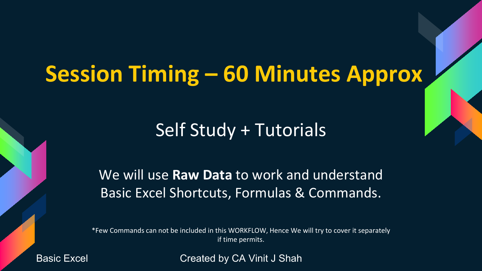### **Session Timing – 60 Minutes Approx**

### Self Study + Tutorials

We will use **Raw Data** to work and understand Basic Excel Shortcuts, Formulas & Commands.

\*Few Commands can not be included in this WORKFLOW, Hence We will try to cover it separately if time permits.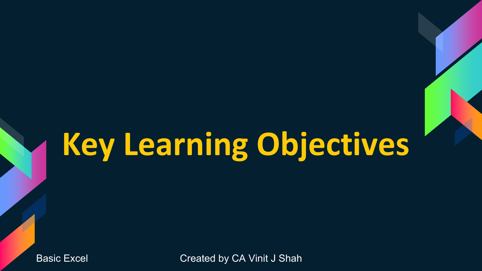## **Key Learning Objectives**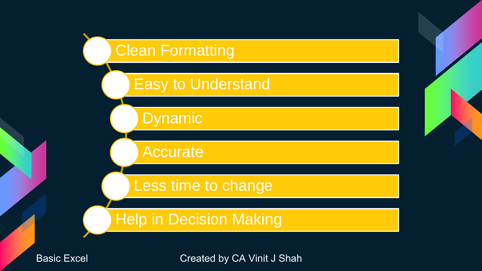### **Clean Formatting**

### Easy to Understand

Dynamic

Accurate

Less time to change

### Help in Decision Making

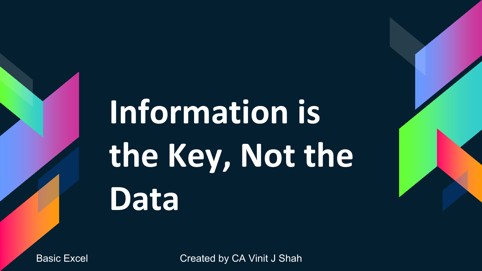# **Information is the Key, Not the Data**

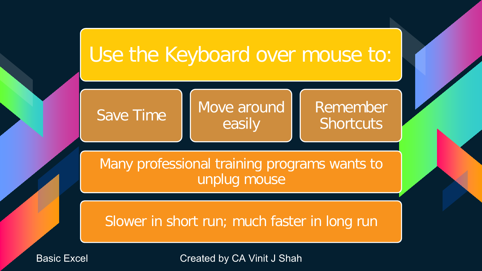### Use the Keyboard over mouse to:

Save Time Move around easily

Remember **Shortcuts** 

Many professional training programs wants to unplug mouse

Slower in short run; much faster in long run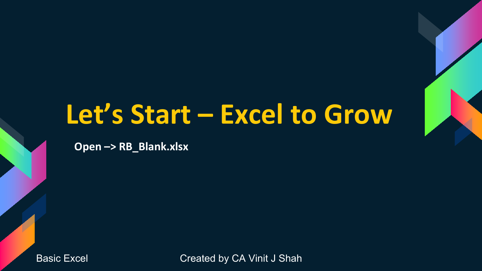### **Let's Start – Excel to Grow**

**Open –> RB\_Blank.xlsx**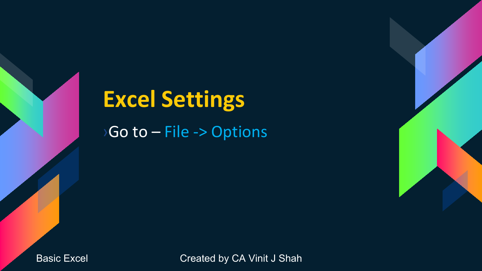# **Excel Settings**

›Go to – File -> Options

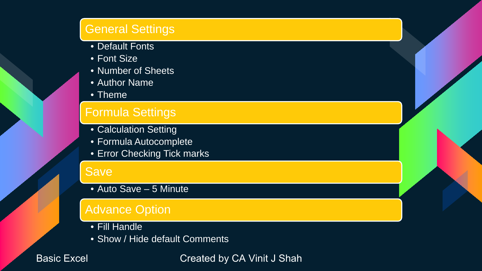#### General Settings

- Default Fonts
- Font Size
- Number of Sheets
- Author Name
- Theme

#### Formula Settings

- Calculation Setting
- Formula Autocomplete
- Error Checking Tick marks

#### Save

• Auto Save – 5 Minute

#### Advance Option

- Fill Handle
- Show / Hide default Comments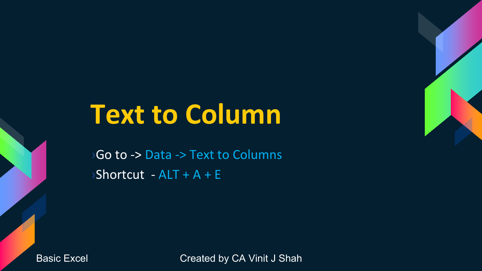## **Text to Column**

›Go to -> Data -> Text to Columns  $\triangleright$ Shortcut - ALT + A + E

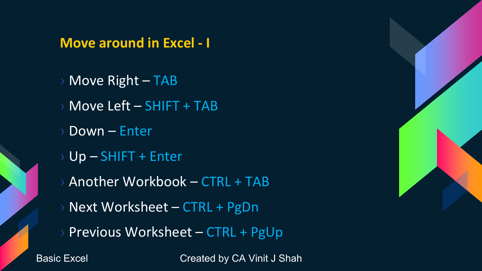#### **Move around in Excel - I**

- Move Right TAB
- Move Left SHIFT + TAB
- Down Enter
- Up SHIFT + Enter
- Another Workbook CTRL + TAB
- Next Worksheet CTRL + PgDn
- Previous Worksheet CTRL + PgUp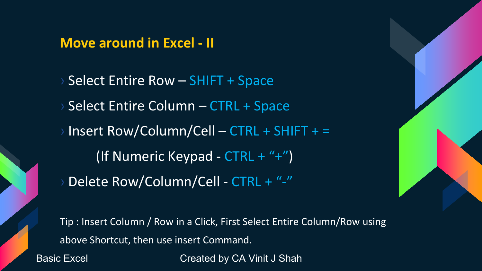### **Move around in Excel - II**

Select Entire Row – SHIFT + Space Select Entire Column – CTRL + Space  $Insert Row/Column/Cell - CTRL + SHIFT + =$ (If Numeric Keypad - CTRL + "+") Delete Row/Column/Cell - CTRL + "-"

Tip : Insert Column / Row in a Click, First Select Entire Column/Row using above Shortcut, then use insert Command. Basic Excel **Created by CA Vinit J Shah**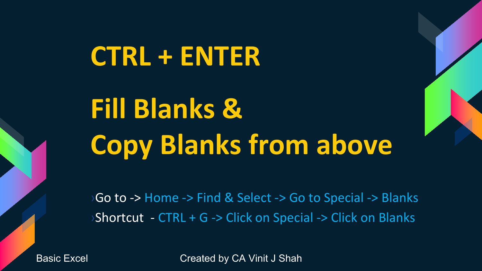## **CTRL + ENTER**

## **Fill Blanks & Copy Blanks from above**

›Go to -> Home -> Find & Select -> Go to Special -> Blanks ›Shortcut - CTRL + G -> Click on Special -> Click on Blanks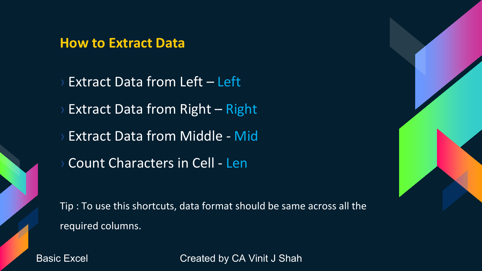#### **How to Extract Data**

**Extract Data from Left – Left** Extract Data from Right – Right **Extract Data from Middle - Mid** Count Characters in Cell - Len Tip : To use this shortcuts, data format should be same across all the

required columns.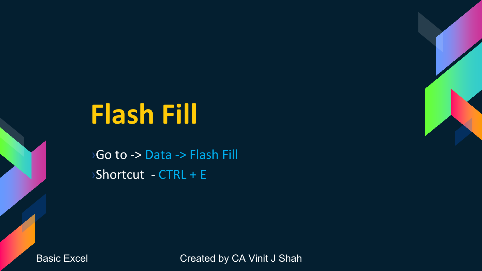## **Flash Fill**

›Go to -> Data -> Flash Fill ›Shortcut - CTRL + E

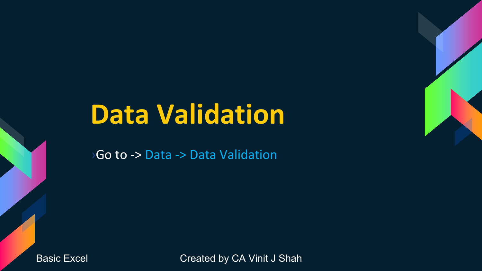## **Data Validation**

›Go to -> Data -> Data Validation

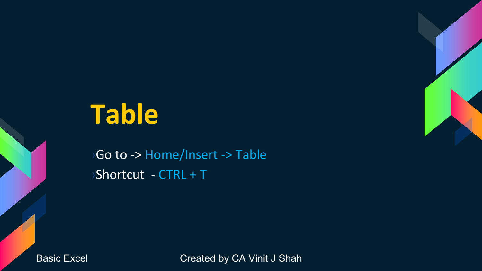## **Table**

›Go to -> Home/Insert -> Table ›Shortcut - CTRL + T

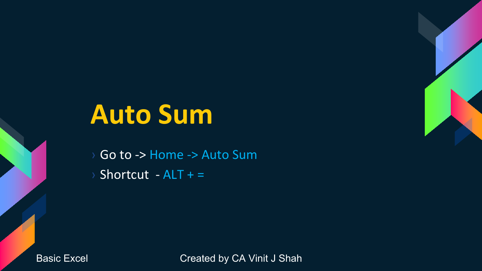### **Auto Sum**

Go to -> Home -> Auto Sum Shortcut -  $ALT + =$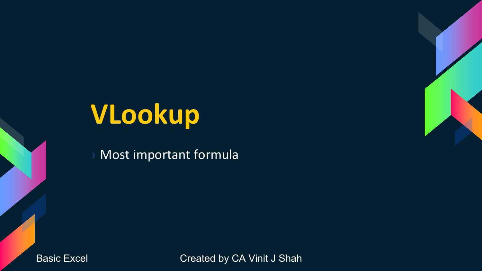## **VLookup**

Most important formula

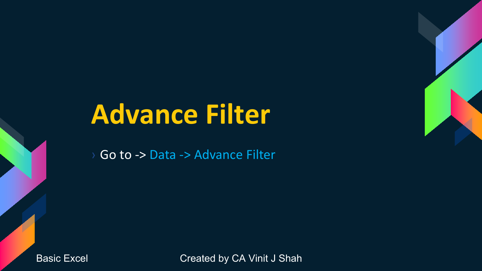## **Advance Filter**

Go to -> Data -> Advance Filter

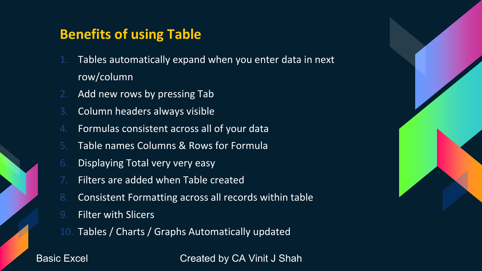### **Benefits of using Table**

- 1. Tables automatically expand when you enter data in next row/column
- 2. Add new rows by pressing Tab
- 3. Column headers always visible
- 4. Formulas consistent across all of your data
- 5. Table names Columns & Rows for Formula
- 6. Displaying Total very very easy
- Filters are added when Table created
- 8. Consistent Formatting across all records within table
- 9. Filter with Slicers
- 10. Tables / Charts / Graphs Automatically updated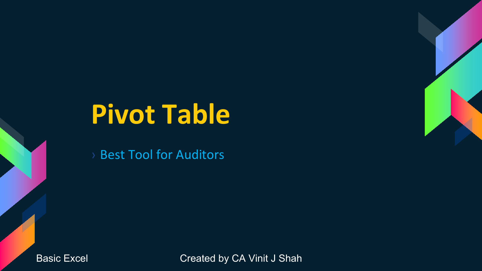### **Pivot Table**

› Best Tool for Auditors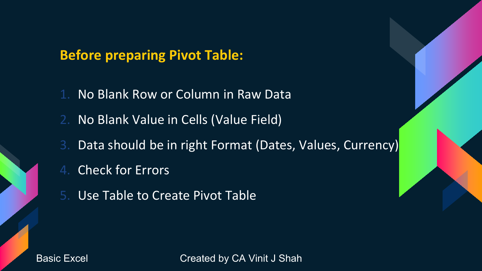**Before preparing Pivot Table:**

- 1. No Blank Row or Column in Raw Data
- 2. No Blank Value in Cells (Value Field)
- 3. Data should be in right Format (Dates, Values, Currency)
- 4. Check for Errors
- 5. Use Table to Create Pivot Table

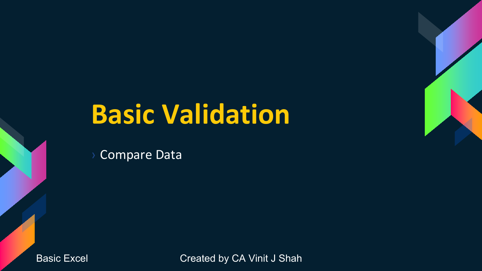### **Basic Validation**

**Compare Data**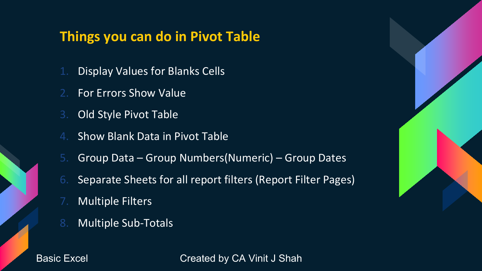### **Things you can do in Pivot Table**

- 1. Display Values for Blanks Cells
- For Errors Show Value
- 3. Old Style Pivot Table
- 4. Show Blank Data in Pivot Table
- 5. Group Data Group Numbers(Numeric) Group Dates
- 6. Separate Sheets for all report filters (Report Filter Pages)
- 7. Multiple Filters
- 8. Multiple Sub-Totals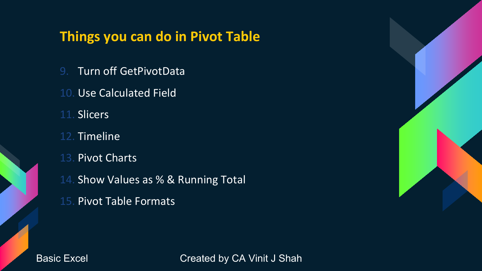### **Things you can do in Pivot Table**

- 9. Turn off GetPivotData
- 10. Use Calculated Field
- 11. Slicers
- 12. Timeline
- 13. Pivot Charts
- 14. Show Values as % & Running Total
- 15. Pivot Table Formats

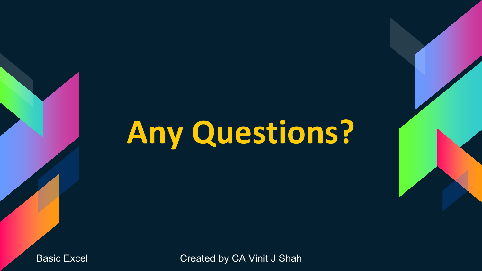## **Any Questions?**

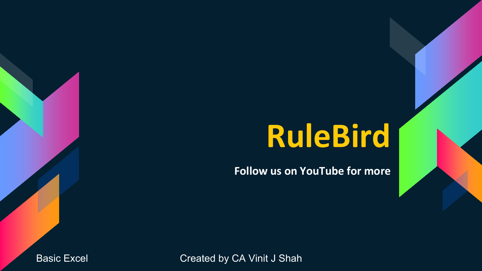## **RuleBird**

**Follow us on YouTube for more**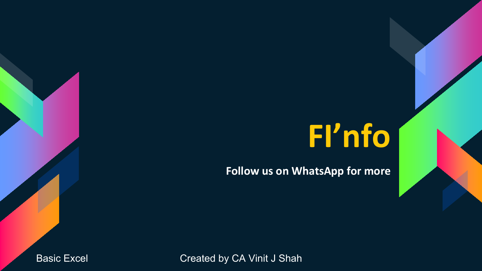## **FI'nfo**

**Follow us on WhatsApp for more**